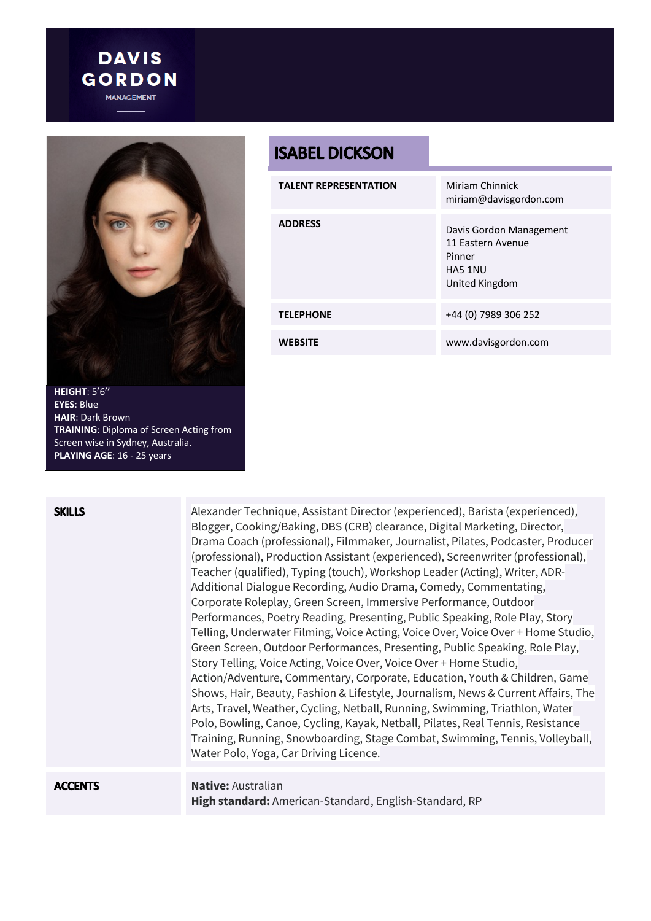

**DAVIS GORDON** 

**EYES**: Blue **HAIR**: Dark Brown **TRAINING**: Diploma of Screen Acting from Screen wise in Sydney, Australia. **PLAYING AGE**: 16 - 25 years

## **ISABEL DICKSON**

| <b>TALENT REPRESENTATION</b> | Miriam Chinnick<br>miriam@davisgordon.com                                           |
|------------------------------|-------------------------------------------------------------------------------------|
| <b>ADDRESS</b>               | Davis Gordon Management<br>11 Eastern Avenue<br>Pinner<br>HA5 1NU<br>United Kingdom |
| <b>TELEPHONE</b>             | +44 (0) 7989 306 252                                                                |
| <b>WEBSITE</b>               | www.davisgordon.com                                                                 |

| <b>SKILLS</b>  | Alexander Technique, Assistant Director (experienced), Barista (experienced),<br>Blogger, Cooking/Baking, DBS (CRB) clearance, Digital Marketing, Director,<br>Drama Coach (professional), Filmmaker, Journalist, Pilates, Podcaster, Producer<br>(professional), Production Assistant (experienced), Screenwriter (professional),<br>Teacher (qualified), Typing (touch), Workshop Leader (Acting), Writer, ADR-<br>Additional Dialogue Recording, Audio Drama, Comedy, Commentating,<br>Corporate Roleplay, Green Screen, Immersive Performance, Outdoor<br>Performances, Poetry Reading, Presenting, Public Speaking, Role Play, Story<br>Telling, Underwater Filming, Voice Acting, Voice Over, Voice Over + Home Studio,<br>Green Screen, Outdoor Performances, Presenting, Public Speaking, Role Play,<br>Story Telling, Voice Acting, Voice Over, Voice Over + Home Studio,<br>Action/Adventure, Commentary, Corporate, Education, Youth & Children, Game<br>Shows, Hair, Beauty, Fashion & Lifestyle, Journalism, News & Current Affairs, The<br>Arts, Travel, Weather, Cycling, Netball, Running, Swimming, Triathlon, Water<br>Polo, Bowling, Canoe, Cycling, Kayak, Netball, Pilates, Real Tennis, Resistance<br>Training, Running, Snowboarding, Stage Combat, Swimming, Tennis, Volleyball,<br>Water Polo, Yoga, Car Driving Licence. |
|----------------|----------------------------------------------------------------------------------------------------------------------------------------------------------------------------------------------------------------------------------------------------------------------------------------------------------------------------------------------------------------------------------------------------------------------------------------------------------------------------------------------------------------------------------------------------------------------------------------------------------------------------------------------------------------------------------------------------------------------------------------------------------------------------------------------------------------------------------------------------------------------------------------------------------------------------------------------------------------------------------------------------------------------------------------------------------------------------------------------------------------------------------------------------------------------------------------------------------------------------------------------------------------------------------------------------------------------------------------------------|
| <b>ACCENTS</b> | <b>Native: Australian</b><br>High standard: American-Standard, English-Standard, RP                                                                                                                                                                                                                                                                                                                                                                                                                                                                                                                                                                                                                                                                                                                                                                                                                                                                                                                                                                                                                                                                                                                                                                                                                                                                |